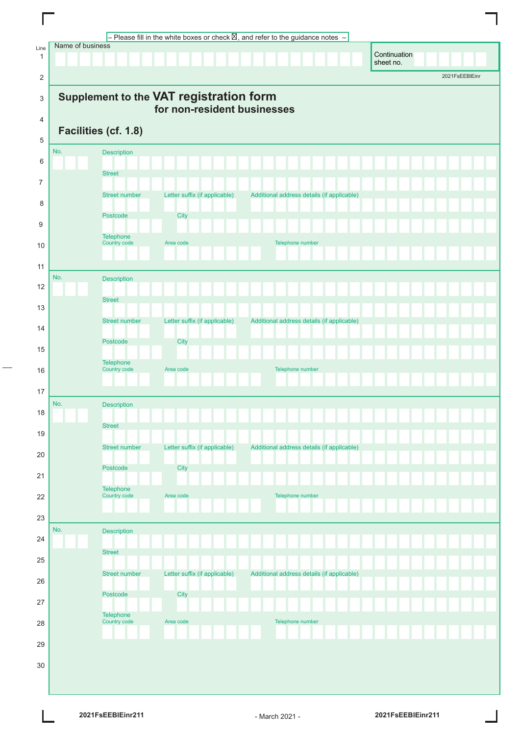|                      |                  |                      |                                                                        | – Please fill in the white boxes or check $\boxtimes$ , and refer to the guidance notes |              |                |
|----------------------|------------------|----------------------|------------------------------------------------------------------------|-----------------------------------------------------------------------------------------|--------------|----------------|
| Line<br>$\mathbf{1}$ | Name of business |                      |                                                                        |                                                                                         | Continuation |                |
| 2                    |                  |                      |                                                                        |                                                                                         | sheet no.    | 2021FsEEBIEinr |
|                      |                  |                      |                                                                        |                                                                                         |              |                |
| 3                    |                  |                      | Supplement to the VAT registration form<br>for non-resident businesses |                                                                                         |              |                |
| 4                    |                  | Facilities (cf. 1.8) |                                                                        |                                                                                         |              |                |
| 5                    |                  |                      |                                                                        |                                                                                         |              |                |
| 6                    | No.              | Description          |                                                                        |                                                                                         |              |                |
| $\overline{7}$       |                  | <b>Street</b>        |                                                                        |                                                                                         |              |                |
|                      |                  | <b>Street number</b> | Letter suffix (if applicable)                                          | Additional address details (if applicable)                                              |              |                |
| 8                    |                  | Postcode             | City                                                                   |                                                                                         |              |                |
| 9                    |                  | Telephone            |                                                                        |                                                                                         |              |                |
| 10                   |                  | Country code         | Area code                                                              | Telephone number                                                                        |              |                |
| 11                   |                  |                      |                                                                        |                                                                                         |              |                |
| 12                   | No.              | Description          |                                                                        |                                                                                         |              |                |
| 13                   |                  | <b>Street</b>        |                                                                        |                                                                                         |              |                |
| 14                   |                  | <b>Street number</b> | Letter suffix (if applicable)                                          | Additional address details (if applicable)                                              |              |                |
|                      |                  | Postcode             | City                                                                   |                                                                                         |              |                |
| 15                   |                  | Telephone            |                                                                        |                                                                                         |              |                |
| 16                   |                  | Country code         | Area code                                                              | Telephone number                                                                        |              |                |
| 17                   |                  |                      |                                                                        |                                                                                         |              |                |
| 18                   | No.              | Description          |                                                                        |                                                                                         |              |                |
| 19                   |                  | <b>Street</b>        |                                                                        |                                                                                         |              |                |
|                      |                  | <b>Street number</b> | Letter suffix (if applicable)                                          | Additional address details (if applicable)                                              |              |                |
| 20                   |                  | Postcode             | City                                                                   |                                                                                         |              |                |
| 21                   |                  | Telephone            |                                                                        |                                                                                         |              |                |
| 22                   |                  | Country code         | Area code                                                              | Telephone number                                                                        |              |                |
| 23                   |                  |                      |                                                                        |                                                                                         |              |                |
| 24                   | No.              | <b>Description</b>   |                                                                        |                                                                                         |              |                |
| 25                   |                  | <b>Street</b>        |                                                                        |                                                                                         |              |                |
|                      |                  | <b>Street number</b> | Letter suffix (if applicable)                                          | Additional address details (if applicable)                                              |              |                |
| 26                   |                  | Postcode             | City                                                                   |                                                                                         |              |                |
| 27                   |                  | Telephone            |                                                                        |                                                                                         |              |                |
| 28                   |                  | Country code         | Area code                                                              | Telephone number                                                                        |              |                |
| 29                   |                  |                      |                                                                        |                                                                                         |              |                |
| 30                   |                  |                      |                                                                        |                                                                                         |              |                |
|                      |                  |                      |                                                                        |                                                                                         |              |                |
|                      |                  |                      |                                                                        |                                                                                         |              |                |

 $\Box$ 

 $\overline{a}$ 

 $\overline{\mathsf{I}}$